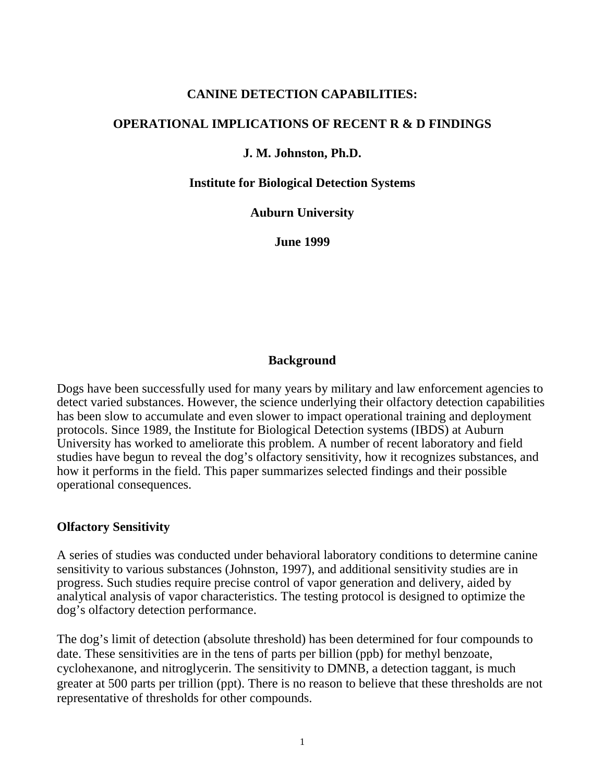#### **CANINE DETECTION CAPABILITIES:**

#### **OPERATIONAL IMPLICATIONS OF RECENT R & D FINDINGS**

#### **J. M. Johnston, Ph.D.**

#### **Institute for Biological Detection Systems**

**Auburn University**

**June 1999**

#### **Background**

Dogs have been successfully used for many years by military and law enforcement agencies to detect varied substances. However, the science underlying their olfactory detection capabilities has been slow to accumulate and even slower to impact operational training and deployment protocols. Since 1989, the Institute for Biological Detection systems (IBDS) at Auburn University has worked to ameliorate this problem. A number of recent laboratory and field studies have begun to reveal the dog's olfactory sensitivity, how it recognizes substances, and how it performs in the field. This paper summarizes selected findings and their possible operational consequences.

#### **Olfactory Sensitivity**

A series of studies was conducted under behavioral laboratory conditions to determine canine sensitivity to various substances (Johnston, 1997), and additional sensitivity studies are in progress. Such studies require precise control of vapor generation and delivery, aided by analytical analysis of vapor characteristics. The testing protocol is designed to optimize the dog's olfactory detection performance.

The dog's limit of detection (absolute threshold) has been determined for four compounds to date. These sensitivities are in the tens of parts per billion (ppb) for methyl benzoate, cyclohexanone, and nitroglycerin. The sensitivity to DMNB, a detection taggant, is much greater at 500 parts per trillion (ppt). There is no reason to believe that these thresholds are not representative of thresholds for other compounds.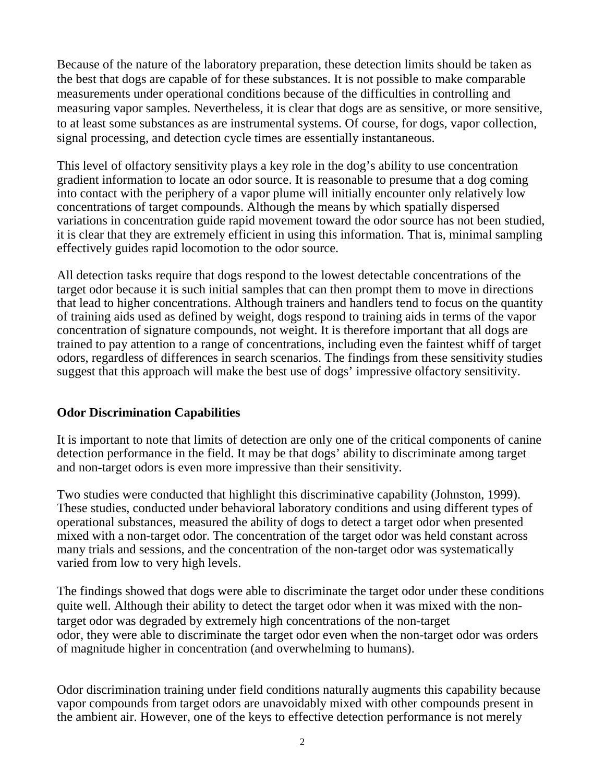Because of the nature of the laboratory preparation, these detection limits should be taken as the best that dogs are capable of for these substances. It is not possible to make comparable measurements under operational conditions because of the difficulties in controlling and measuring vapor samples. Nevertheless, it is clear that dogs are as sensitive, or more sensitive, to at least some substances as are instrumental systems. Of course, for dogs, vapor collection, signal processing, and detection cycle times are essentially instantaneous.

This level of olfactory sensitivity plays a key role in the dog's ability to use concentration gradient information to locate an odor source. It is reasonable to presume that a dog coming into contact with the periphery of a vapor plume will initially encounter only relatively low concentrations of target compounds. Although the means by which spatially dispersed variations in concentration guide rapid movement toward the odor source has not been studied, it is clear that they are extremely efficient in using this information. That is, minimal sampling effectively guides rapid locomotion to the odor source.

All detection tasks require that dogs respond to the lowest detectable concentrations of the target odor because it is such initial samples that can then prompt them to move in directions that lead to higher concentrations. Although trainers and handlers tend to focus on the quantity of training aids used as defined by weight, dogs respond to training aids in terms of the vapor concentration of signature compounds, not weight. It is therefore important that all dogs are trained to pay attention to a range of concentrations, including even the faintest whiff of target odors, regardless of differences in search scenarios. The findings from these sensitivity studies suggest that this approach will make the best use of dogs' impressive olfactory sensitivity.

## **Odor Discrimination Capabilities**

It is important to note that limits of detection are only one of the critical components of canine detection performance in the field. It may be that dogs' ability to discriminate among target and non-target odors is even more impressive than their sensitivity.

Two studies were conducted that highlight this discriminative capability (Johnston, 1999). These studies, conducted under behavioral laboratory conditions and using different types of operational substances, measured the ability of dogs to detect a target odor when presented mixed with a non-target odor. The concentration of the target odor was held constant across many trials and sessions, and the concentration of the non-target odor was systematically varied from low to very high levels.

The findings showed that dogs were able to discriminate the target odor under these conditions quite well. Although their ability to detect the target odor when it was mixed with the nontarget odor was degraded by extremely high concentrations of the non-target odor, they were able to discriminate the target odor even when the non-target odor was orders of magnitude higher in concentration (and overwhelming to humans).

Odor discrimination training under field conditions naturally augments this capability because vapor compounds from target odors are unavoidably mixed with other compounds present in the ambient air. However, one of the keys to effective detection performance is not merely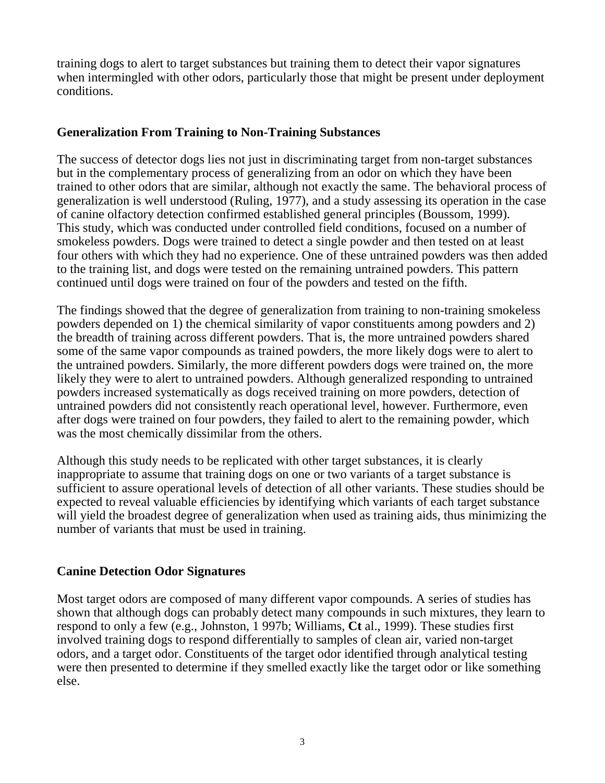training dogs to alert to target substances but training them to detect their vapor signatures when intermingled with other odors, particularly those that might be present under deployment conditions.

### **Generalization From Training to Non-Training Substances**

The success of detector dogs lies not just in discriminating target from non-target substances but in the complementary process of generalizing from an odor on which they have been trained to other odors that are similar, although not exactly the same. The behavioral process of generalization is well understood (Ruling, 1977), and a study assessing its operation in the case of canine olfactory detection confirmed established general principles (Boussom, 1999). This study, which was conducted under controlled field conditions, focused on a number of smokeless powders. Dogs were trained to detect a single powder and then tested on at least four others with which they had no experience. One of these untrained powders was then added to the training list, and dogs were tested on the remaining untrained powders. This pattern continued until dogs were trained on four of the powders and tested on the fifth.

The findings showed that the degree of generalization from training to non-training smokeless powders depended on 1) the chemical similarity of vapor constituents among powders and 2) the breadth of training across different powders. That is, the more untrained powders shared some of the same vapor compounds as trained powders, the more likely dogs were to alert to the untrained powders. Similarly, the more different powders dogs were trained on, the more likely they were to alert to untrained powders. Although generalized responding to untrained powders increased systematically as dogs received training on more powders, detection of untrained powders did not consistently reach operational level, however. Furthermore, even after dogs were trained on four powders, they failed to alert to the remaining powder, which was the most chemically dissimilar from the others.

Although this study needs to be replicated with other target substances, it is clearly inappropriate to assume that training dogs on one or two variants of a target substance is sufficient to assure operational levels of detection of all other variants. These studies should be expected to reveal valuable efficiencies by identifying which variants of each target substance will yield the broadest degree of generalization when used as training aids, thus minimizing the number of variants that must be used in training.

## **Canine Detection Odor Signatures**

Most target odors are composed of many different vapor compounds. A series of studies has shown that although dogs can probably detect many compounds in such mixtures, they learn to respond to only a few (e.g., Johnston, 1 997b; Williams, **Ct** al., 1999). These studies first involved training dogs to respond differentially to samples of clean air, varied non-target odors, and a target odor. Constituents of the target odor identified through analytical testing were then presented to determine if they smelled exactly like the target odor or like something else.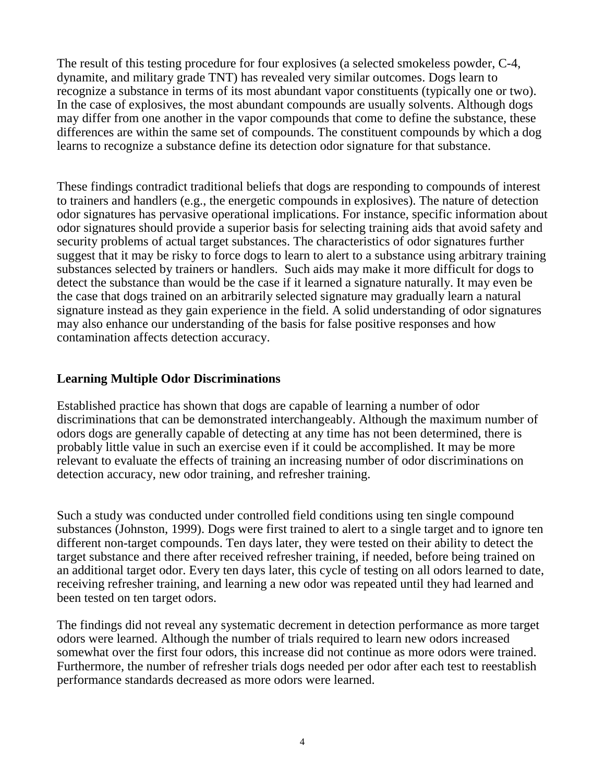The result of this testing procedure for four explosives (a selected smokeless powder, C-4, dynamite, and military grade TNT) has revealed very similar outcomes. Dogs learn to recognize a substance in terms of its most abundant vapor constituents (typically one or two). In the case of explosives, the most abundant compounds are usually solvents. Although dogs may differ from one another in the vapor compounds that come to define the substance, these differences are within the same set of compounds. The constituent compounds by which a dog learns to recognize a substance define its detection odor signature for that substance.

These findings contradict traditional beliefs that dogs are responding to compounds of interest to trainers and handlers (e.g., the energetic compounds in explosives). The nature of detection odor signatures has pervasive operational implications. For instance, specific information about odor signatures should provide a superior basis for selecting training aids that avoid safety and security problems of actual target substances. The characteristics of odor signatures further suggest that it may be risky to force dogs to learn to alert to a substance using arbitrary training substances selected by trainers or handlers. Such aids may make it more difficult for dogs to detect the substance than would be the case if it learned a signature naturally. It may even be the case that dogs trained on an arbitrarily selected signature may gradually learn a natural signature instead as they gain experience in the field. A solid understanding of odor signatures may also enhance our understanding of the basis for false positive responses and how contamination affects detection accuracy.

## **Learning Multiple Odor Discriminations**

Established practice has shown that dogs are capable of learning a number of odor discriminations that can be demonstrated interchangeably. Although the maximum number of odors dogs are generally capable of detecting at any time has not been determined, there is probably little value in such an exercise even if it could be accomplished. It may be more relevant to evaluate the effects of training an increasing number of odor discriminations on detection accuracy, new odor training, and refresher training.

Such a study was conducted under controlled field conditions using ten single compound substances (Johnston, 1999). Dogs were first trained to alert to a single target and to ignore ten different non-target compounds. Ten days later, they were tested on their ability to detect the target substance and there after received refresher training, if needed, before being trained on an additional target odor. Every ten days later, this cycle of testing on all odors learned to date, receiving refresher training, and learning a new odor was repeated until they had learned and been tested on ten target odors.

The findings did not reveal any systematic decrement in detection performance as more target odors were learned. Although the number of trials required to learn new odors increased somewhat over the first four odors, this increase did not continue as more odors were trained. Furthermore, the number of refresher trials dogs needed per odor after each test to reestablish performance standards decreased as more odors were learned.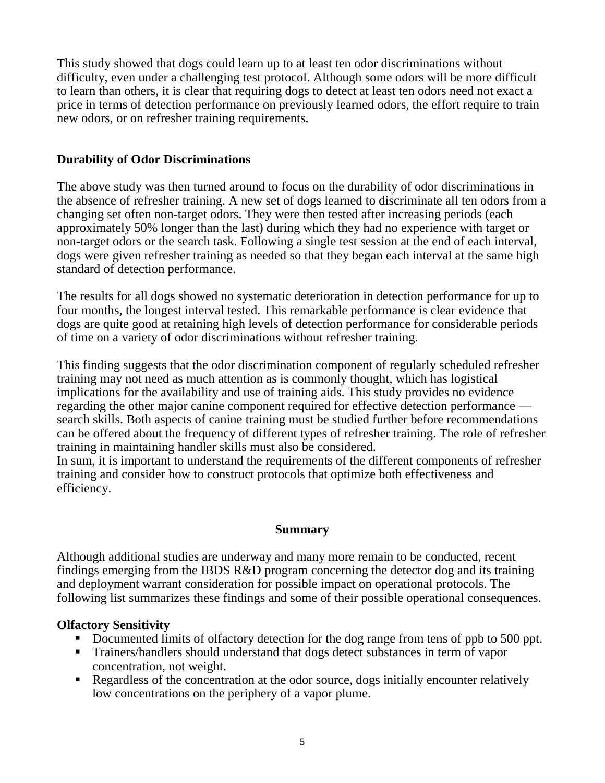This study showed that dogs could learn up to at least ten odor discriminations without difficulty, even under a challenging test protocol. Although some odors will be more difficult to learn than others, it is clear that requiring dogs to detect at least ten odors need not exact a price in terms of detection performance on previously learned odors, the effort require to train new odors, or on refresher training requirements.

## **Durability of Odor Discriminations**

The above study was then turned around to focus on the durability of odor discriminations in the absence of refresher training. A new set of dogs learned to discriminate all ten odors from a changing set often non-target odors. They were then tested after increasing periods (each approximately 50% longer than the last) during which they had no experience with target or non-target odors or the search task. Following a single test session at the end of each interval, dogs were given refresher training as needed so that they began each interval at the same high standard of detection performance.

The results for all dogs showed no systematic deterioration in detection performance for up to four months, the longest interval tested. This remarkable performance is clear evidence that dogs are quite good at retaining high levels of detection performance for considerable periods of time on a variety of odor discriminations without refresher training.

This finding suggests that the odor discrimination component of regularly scheduled refresher training may not need as much attention as is commonly thought, which has logistical implications for the availability and use of training aids. This study provides no evidence regarding the other major canine component required for effective detection performance search skills. Both aspects of canine training must be studied further before recommendations can be offered about the frequency of different types of refresher training. The role of refresher training in maintaining handler skills must also be considered.

In sum, it is important to understand the requirements of the different components of refresher training and consider how to construct protocols that optimize both effectiveness and efficiency.

## **Summary**

Although additional studies are underway and many more remain to be conducted, recent findings emerging from the IBDS R&D program concerning the detector dog and its training and deployment warrant consideration for possible impact on operational protocols. The following list summarizes these findings and some of their possible operational consequences.

# **Olfactory Sensitivity**

- Documented limits of olfactory detection for the dog range from tens of ppb to 500 ppt.
- ! Trainers/handlers should understand that dogs detect substances in term of vapor concentration, not weight.
- ! Regardless of the concentration at the odor source, dogs initially encounter relatively low concentrations on the periphery of a vapor plume.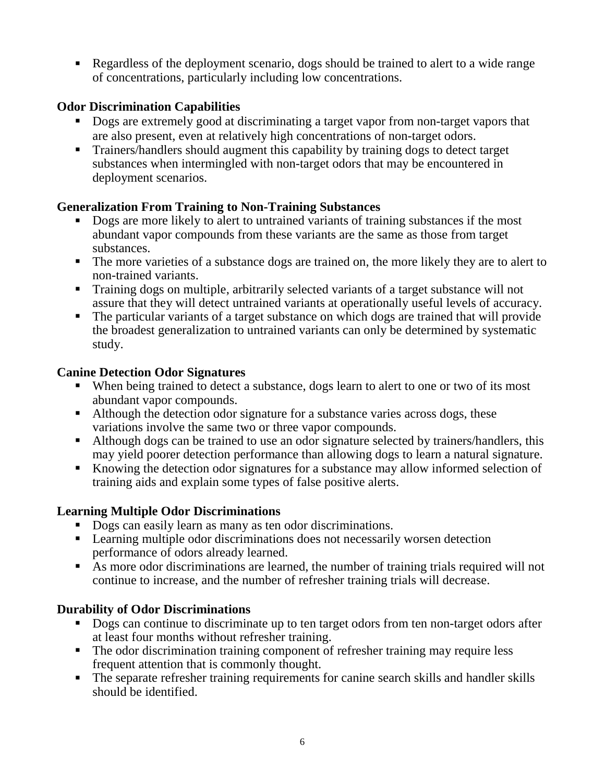! Regardless of the deployment scenario, dogs should be trained to alert to a wide range of concentrations, particularly including low concentrations.

## **Odor Discrimination Capabilities**

- **•** Dogs are extremely good at discriminating a target vapor from non-target vapors that are also present, even at relatively high concentrations of non-target odors.
- ! Trainers/handlers should augment this capability by training dogs to detect target substances when intermingled with non-target odors that may be encountered in deployment scenarios.

## **Generalization From Training to Non-Training Substances**

- Dogs are more likely to alert to untrained variants of training substances if the most abundant vapor compounds from these variants are the same as those from target substances.
- ! The more varieties of a substance dogs are trained on, the more likely they are to alert to non-trained variants.
- ! Training dogs on multiple, arbitrarily selected variants of a target substance will not assure that they will detect untrained variants at operationally useful levels of accuracy.
- ! The particular variants of a target substance on which dogs are trained that will provide the broadest generalization to untrained variants can only be determined by systematic study.

## **Canine Detection Odor Signatures**

- ! When being trained to detect a substance, dogs learn to alert to one or two of its most abundant vapor compounds.
- ! Although the detection odor signature for a substance varies across dogs, these variations involve the same two or three vapor compounds.
- ! Although dogs can be trained to use an odor signature selected by trainers/handlers, this may yield poorer detection performance than allowing dogs to learn a natural signature.
- ! Knowing the detection odor signatures for a substance may allow informed selection of training aids and explain some types of false positive alerts.

## **Learning Multiple Odor Discriminations**

- **Dogs can easily learn as many as ten odor discriminations.**
- ! Learning multiple odor discriminations does not necessarily worsen detection performance of odors already learned.
- ! As more odor discriminations are learned, the number of training trials required will not continue to increase, and the number of refresher training trials will decrease.

# **Durability of Odor Discriminations**

- Dogs can continue to discriminate up to ten target odors from ten non-target odors after at least four months without refresher training.
- ! The odor discrimination training component of refresher training may require less frequent attention that is commonly thought.
- ! The separate refresher training requirements for canine search skills and handler skills should be identified.